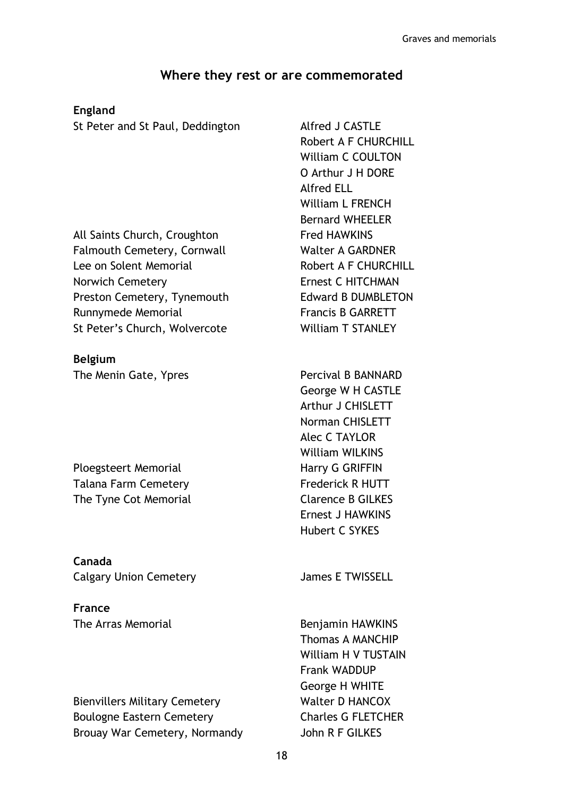## Where they rest or are commemorated

## England

St Peter and St Paul, Deddington Alfred J CASTLE

All Saints Church, Croughton Fred HAWKINS Falmouth Cemetery, Cornwall Walter A GARDNER Lee on Solent Memorial **Robert A F CHURCHILL** Norwich Cemetery **Example 2018** Ernest C HITCHMAN Preston Cemetery, Tynemouth Edward B DUMBLETON Runnymede Memorial Francis B GARRETT St Peter's Church, Wolvercote William T STANLEY

## Belgium

The Menin Gate, Ypres Percival B BANNARD

Ploegsteert Memorial Harry G GRIFFIN Talana Farm Cemetery **Figure 1** Frederick R HUTT The Tyne Cot Memorial Clarence B GILKES

Canada Calgary Union Cemetery **Fig. 2018** James E TWISSELL

France

Bienvillers Military Cemetery Walter D HANCOX Boulogne Eastern Cemetery **Eastern Cemetery** Charles G FLETCHER Brouay War Cemetery, Normandy John R F GILKES

Robert A F CHURCHILL William C COULTON O Arthur J H DORE Alfred ELL William L FRENCH Bernard WHEELER

George W H CASTLE Arthur J CHISLETT Norman CHISLETT Alec C TAYLOR William WILKINS Ernest J HAWKINS Hubert C SYKES

The Arras Memorial **Benjamin HAWKINS** Thomas A MANCHIP William H V TUSTAIN Frank WADDUP George H WHITE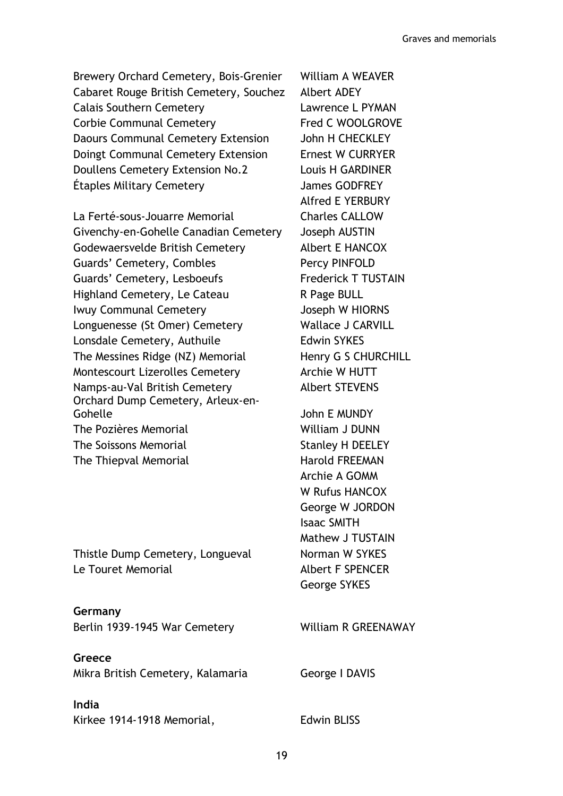Brewery Orchard Cemetery, Bois-Grenier William A WEAVER Cabaret Rouge British Cemetery, Souchez Albert ADEY Calais Southern Cemetery Lawrence L PYMAN Corbie Communal Cemetery Fred C WOOLGROVE Daours Communal Cemetery Extension John H CHECKLEY Doingt Communal Cemetery Extension Ernest W CURRYER Doullens Cemetery Extension No.2 Louis H GARDINER Étaples Military Cemetery James GODFREY

La Ferté-sous-Jouarre Memorial Charles CALLOW Givenchy-en-Gohelle Canadian Cemetery Joseph AUSTIN Godewaersvelde British Cemetery Albert E HANCOX Guards' Cemetery, Combles Percy PINFOLD Guards' Cemetery, Lesboeufs Frederick T TUSTAIN Highland Cemetery, Le Cateau R Page BULL Iwuy Communal Cemetery Joseph W HIORNS Longuenesse (St Omer) Cemetery Wallace J CARVILL Lonsdale Cemetery, Authuile **Edwin SYKES** The Messines Ridge (NZ) Memorial Henry G S CHURCHILL Montescourt Lizerolles Cemetery **Archie W HUTT** Namps-au-Val British Cemetery Albert STEVENS Orchard Dump Cemetery, Arleux-en-Gohelle John E MUNDY The Pozières Memorial William J DUNN The Soissons Memorial Stanley H DEELEY The Thiepval Memorial **Harold FREEMAN** 

Thistle Dump Cemetery, Longueval Norman W SYKES Le Touret Memorial **Albert F SPENCER** 

Germany Berlin 1939-1945 War Cemetery William R GREENAWAY

Greece Mikra British Cemetery, Kalamaria George I DAVIS

India Kirkee 1914-1918 Memorial, Edwin BLISS

Alfred E YERBURY

Archie A GOMM W Rufus HANCOX George W JORDON Isaac SMITH Mathew J TUSTAIN George SYKES